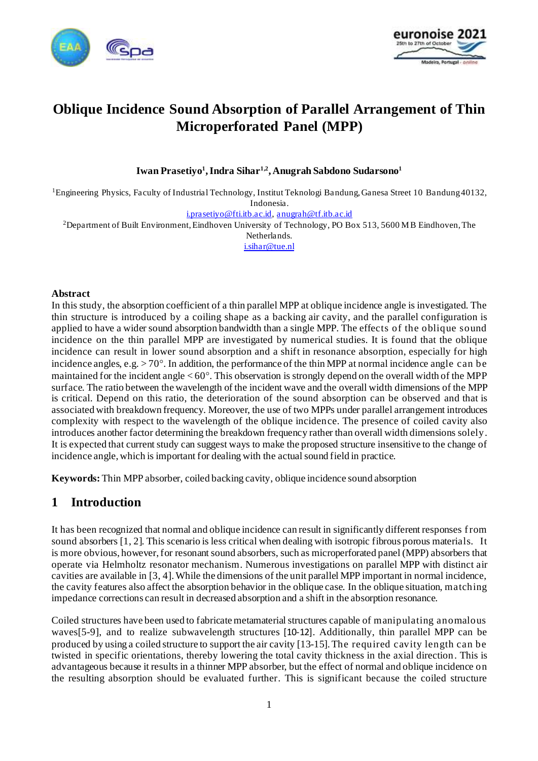



# **Oblique Incidence Sound Absorption of Parallel Arrangement of Thin Microperforated Panel (MPP)**

**Iwan Prasetiyo<sup>1</sup> , Indra Sihar1,2, Anugrah Sabdono Sudarsono<sup>1</sup>**

<sup>1</sup>Engineering Physics, Faculty of Industrial Technology, Institut Teknologi Bandung, Ganesa Street 10 Bandung 40132, Indonesia.

[i.prasetiyo@fti.itb.ac.id,](mailto:i.prasetiyo@fti.itb.ac.id) [anugrah@tf.itb.ac.id](mailto:anugrah@tf.itb.ac.id)

<sup>2</sup>Department of Built Environment, Eindhoven University of Technology, PO Box 513, 5600 MB Eindhoven, The

Netherlands. [i.sihar@tue.nl](mailto:i.sihar@tue.nl)

#### **Abstract**

In this study, the absorption coefficient of a thin parallel MPP at oblique incidence angle is investigated. The thin structure is introduced by a coiling shape as a backing air cavity, and the parallel configuration is applied to have a wider sound absorption bandwidth than a single MPP. The effects of the oblique sound incidence on the thin parallel MPP are investigated by numerical studies. It is found that the oblique incidence can result in lower sound absorption and a shift in resonance absorption, especially for high incidence angles, e.g.  $> 70^{\circ}$ . In addition, the performance of the thin MPP at normal incidence angle can be maintained for the incident angle  $< 60^{\circ}$ . This observation is strongly depend on the overall width of the MPP surface. The ratio between the wavelength of the incident wave and the overall width dimensions of the MPP is critical. Depend on this ratio, the deterioration of the sound absorption can be observed and that is associated with breakdown frequency. Moreover, the use of two MPPs under parallel arrangement introduces complexity with respect to the wavelength of the oblique incidence. The presence of coiled cavity also introduces another factor determining the breakdown frequency rather than overall width dimensions solely. It is expected that current study can suggest ways to make the proposed structure insensitive to the change of incidence angle, which is important for dealing with the actual sound field in practice.

**Keywords:** Thin MPP absorber, coiled backing cavity, oblique incidence sound absorption

## **1 Introduction**

It has been recognized that normal and oblique incidence can result in significantly different responses f rom sound absorbers [\[1](#page-6-0)[, 2\]](#page-6-1). This scenario is less critical when dealing with isotropic fibrous porous materials. It is more obvious, however, for resonant sound absorbers, such as microperforated panel (MPP) absorbers that operate via Helmholtz resonator mechanism. Numerous investigations on parallel MPP with distinct air cavities are available in [\[3](#page-6-2)[, 4](#page-6-3)].While the dimensions of the unit parallel MPP important in normal incidence, the cavity features also affect the absorption behavior in the oblique case. In the oblique situation, matching impedance corrections can result in decreased absorption and a shift in the absorption resonance.

Coiled structures have been used to fabricate metamaterial structures capable of manipulating anomalous wave[s\[5-9](#page-7-0)], and to realize subwavelength structures [\[10-12](#page-7-1)]. Additionally, thin parallel MPP can be produced by using a coiled structure to support the air cavity [13[-15\]. Th](#page-7-2)e required cavity length can be twisted in specific orientations, thereby lowering the total cavity thickness in the axial direction. This is advantageous because it results in a thinner MPP absorber, but the effect of normal and oblique incidence on the resulting absorption should be evaluated further. This is significant because the coiled structure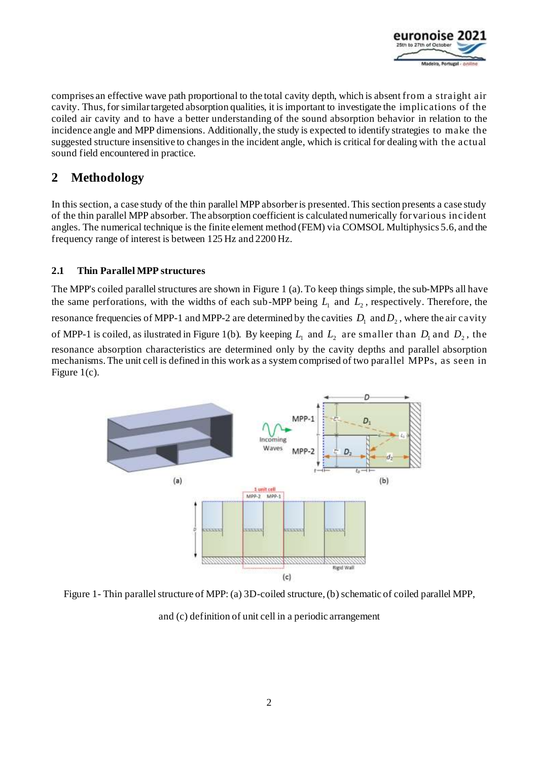

comprises an effective wave path proportional to the total cavity depth, which is absent from a straight air cavity. Thus, for similar targeted absorption qualities, it is important to investigate the implications of the coiled air cavity and to have a better understanding of the sound absorption behavior in relation to the incidence angle and MPP dimensions. Additionally, the study is expected to identify strategies to make the suggested structure insensitive to changes in the incident angle, which is critical for dealing with the actual sound field encountered in practice.

# **2 Methodology**

In this section, a case study of the thin parallel MPP absorberis presented. This section presents a case study of the thin parallel MPP absorber. The absorption coefficient is calculated numerically for various incident angles. The numerical technique is the finite element method (FEM) via COMSOL Multiphysics 5.6, and the frequency range of interest is between 125 Hz and 2200 Hz.

### **2.1 Thin Parallel MPP structures**

The MPP's coiled parallel structures are shown in [Figure 1](#page-1-0) (a). To keep things simple, the sub-MPPs all have the same perforations, with the widths of each sub-MPP being  $L_1$  and  $L_2$ , respectively. Therefore, the resonance frequencies of MPP-1 and MPP-2 are determined by the cavities  $D_1$  and  $D_2$ , where the air cavity of MPP-1 is coiled, as ilustrated in [Figure 1\(b](#page-1-0)). By keeping  $L_1$  and  $L_2$  are smaller than  $D_1$  and  $D_2$ , the resonance absorption characteristics are determined only by the cavity depths and parallel absorption mechanisms.The unit cell is defined in this work as a system comprised of two parallel MPPs, as seen in [Figure 1\(](#page-1-0)c).



<span id="page-1-0"></span>Figure 1- Thin parallel structure of MPP: (a) 3D-coiled structure, (b) schematic of coiled parallel MPP, and (c) definition of unit cell in a periodic arrangement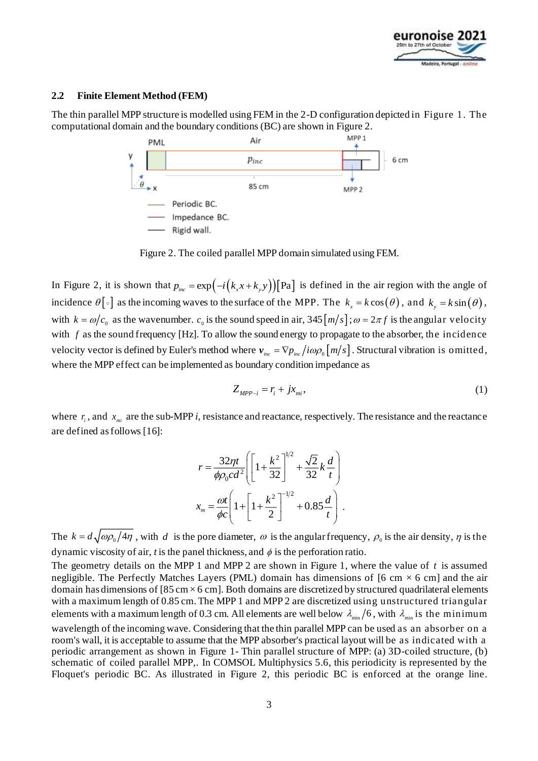

#### **2.2 Finite Element Method (FEM)**

The thin parallel MPP structure is modelled using FEM in the 2-D configuration depicted in [Figure 1.](#page-1-0) The computational domain and the boundary conditions (BC) are shown in Figure 2.



Figure 2. The coiled parallel MPP domain simulated using FEM.

<span id="page-2-0"></span>In Figure 2, it is shown that  $p_{inc} = \exp(-i(k_x x + k_y y))$  [Pa] is defined in the air region with the angle of incidence  $\theta[\circ]$  as the incoming waves to the surface of the MPP. The  $k_x = k \cos(\theta)$ , and  $k_y = k \sin(\theta)$ , with  $k = \omega/c_0$  as the wavenumber.  $c_0$  is the sound speed in air,  $345 \left[ m/s \right]$ ;  $\omega = 2 \pi f$  is the angular velocity with f as the sound frequency [Hz]. To allow the sound energy to propagate to the absorber, the incidence velocity vector is defined by Euler's method where  $v_{_{inc}} = \nabla p_{_{inc}}/i\omega\rho_{_0}\big[m/s\big]$  . Structural vibration is <code>omitted,</code> where the MPP effect can be implemented as boundary condition impedance as

$$
Z_{MPP-i} = r_i + jx_{mi},\tag{1}
$$

where  $r_i$ , and  $x_{mi}$  are the sub-MPP *i*, resistance and reactance, respectively. The resistance and the reactance are defined as follows [\[16](#page-7-3)]:

$$
r = \frac{32\eta t}{\phi \rho_0 c d^2} \left[ \left[ 1 + \frac{k^2}{32} \right]^{1/2} + \frac{\sqrt{2}}{32} k \frac{d}{t} \right]
$$

$$
x_m = \frac{\omega t}{\phi c} \left[ 1 + \left[ 1 + \frac{k^2}{2} \right]^{-1/2} + 0.85 \frac{d}{t} \right].
$$

The  $k = d\sqrt{\omega \rho_0/4\eta}$ , with d is the pore diameter,  $\omega$  is the angular frequency,  $\rho_0$  is the air density,  $\eta$  is the dynamic viscosity of air,  $t$  is the panel thickness, and  $\phi$  is the perforation ratio.

The geometry details on the MPP 1 and MPP 2 are shown in [Figure 1,](#page-1-0) where the value of  $t$  is assumed negligible. The Perfectly Matches Layers (PML) domain has dimensions of [6 cm  $\times$  6 cm] and the air domain has dimensions of [85 cm  $\times$  6 cm]. Both domains are discretized by structured quadrilateral elements with a maximum length of 0.85 cm.The MPP 1 and MPP 2 are discretized using unstructured triangular elements with a maximum length of 0.3 cm. All elements are well below  $\lambda_{\min}/6$ , with  $\lambda_{\min}$  is the minimum wavelength of the incoming wave. Considering that the thin parallel MPP can be used as an absorber on a room's wall, it is acceptable to assume that the MPP absorber's practical layout will be as indicated with a periodic arrangement as shown in Figure 1- Thin [parallel structure of MPP: \(a\) 3D-coiled structure, \(b\)](#page-1-0)  [schematic of coiled parallel MPP,](#page-1-0). In COMSOL Multiphysics 5.6, this periodicity is represented by the Floquet's periodic BC. As illustrated in [Figure 2,](#page-2-0) this periodic BC is enforced at the orange line.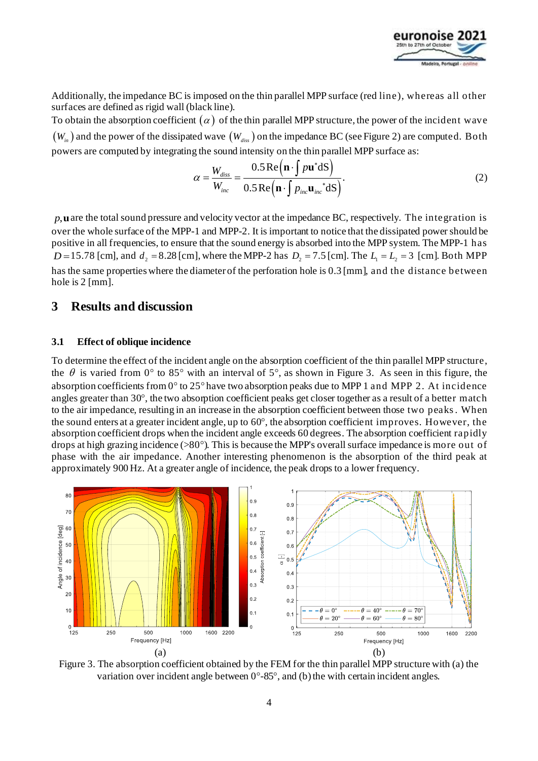

Additionally, the impedance BC is imposed on the thin parallel MPP surface (red line), whereas all other surfaces are defined as rigid wall (black line).

To obtain the absorption coefficient  $(\alpha)$  of the thin parallel MPP structure, the power of the incident wave  $\left( W_{_{in}}\right)$  and the power of the dissipated wave  $\left( W_{_{diss}}\right)$  on the impedance BC (see [Figure 2\)](#page-2-0) are computed. Both powers are computed by integrating the sound intensity on the thin parallel MPP surface as:<br> $W_{diss}$  0.5 Re  $(n \cdot \int p\mathbf{u}^* dS)$ 

$$
\alpha = \frac{W_{diss}}{W_{inc}} = \frac{0.5 \operatorname{Re}(\mathbf{n} \cdot \int p\mathbf{u}^* \mathrm{dS})}{0.5 \operatorname{Re}(\mathbf{n} \cdot \int p_{inc} \mathbf{u}_{inc}^* \mathrm{dS})}.
$$
 (2)

*p*,**u** are the total sound pressure and velocity vector at the impedance BC, respectively. The integration is over the whole surface of the MPP-1 and MPP-2. It is important to notice that the dissipated power should be positive in all frequencies, to ensure that the sound energy is absorbed into the MPP system. The MPP-1 has *D* = 15.78 [cm], and  $d_2 = 8.28$  [cm], where the MPP-2 has  $D_2 = 7.5$  [cm]. The  $L_1 = L_2 = 3$  [cm]. Both MPP has the same properties where the diameter of the perforation hole is 0.3 [mm], and the distance between hole is 2 [mm].

### **3 Results and discussion**

#### **3.1 Effect of oblique incidence**

To determine the effect of the incident angle on the absorption coefficient of the thin parallel MPP structure, the  $\theta$  is varied from 0° to 85° with an interval of 5°, as shown i[n Figure 3](#page-3-0). As seen in this figure, the absorption coefficients from  $0^{\circ}$  to 25° have two absorption peaks due to MPP 1 and MPP 2. At incidence angles greater than  $30^{\circ}$ , the two absorption coefficient peaks get closer together as a result of a better match to the air impedance, resulting in an increase in the absorption coefficient between those two peaks. When the sound enters at a greater incident angle, up to  $60^\circ$ , the absorption coefficient improves. However, the absorption coefficient drops when the incident angle exceeds 60 degrees. The absorption coefficient rapidly drops at high grazing incidence ( $>80^\circ$ ). This is because the MPP's overall surface impedance is more out of phase with the air impedance. Another interesting phenomenon is the absorption of the third peak at approximately 900 Hz. At a greater angle of incidence, the peak drops to a lower frequency.



<span id="page-3-0"></span>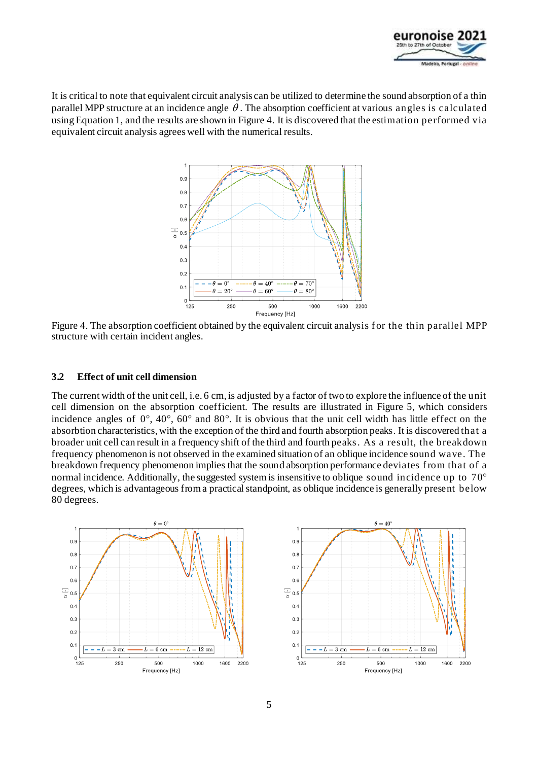

It is critical to note that equivalent circuit analysis can be utilized to determine the sound absorption of a thin parallel MPP structure at an incidence angle  $\theta$ . The absorption coefficient at various angles is calculated using Equation 1, and the results are shown in Figure 4. It is discovered that the estimation performed via equivalent circuit analysis agrees well with the numerical results.



Figure 4. The absorption coefficient obtained by the equivalent circuit analysis for the thin parallel MPP structure with certain incident angles.

#### **3.2 Effect of unit cell dimension**

The current width of the unit cell, i.e. 6 cm, is adjusted by a factor of two to explore the influence of the unit cell dimension on the absorption coefficient. The results are illustrated i[n Figure 5,](#page-5-0) which considers incidence angles of  $0^\circ$ ,  $40^\circ$ ,  $60^\circ$  and  $80^\circ$ . It is obvious that the unit cell width has little effect on the absorbtion characteristics, with the exception of the third and fourth absorption peaks. It is discovered that a broader unit cell can result in a frequency shift of the third and fourth peaks. As a result, the breakdown frequency phenomenon is not observed in the examined situation of an oblique incidence sound wave. The breakdown frequency phenomenon implies that the sound absorption performance deviates f rom that of a normal incidence. Additionally, the suggested system is insensitive to oblique sound incidence up to 70° degrees, which is advantageous from a practical standpoint, as oblique incidence is generally present below 80 degrees.



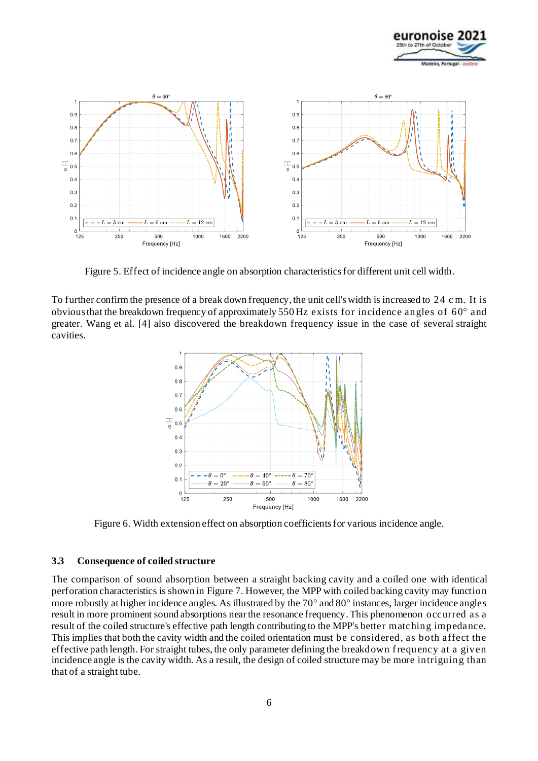



Figure 5. Effect of incidence angle on absorption characteristics for different unit cell width.

<span id="page-5-0"></span>To further confirm the presence of a break down frequency, the unit cell's width is increased to 24 c m. It is obvious that the breakdown frequency of approximately 550 Hz exists for incidence angles of  $60^{\circ}$  and greater. Wang et al. [[4\]](#page-6-3) also discovered the breakdown frequency issue in the case of several straight cavities.



Figure 6. Width extension effect on absorption coefficients for various incidence angle.

#### **3.3 Consequence of coiled structure**

The comparison of sound absorption between a straight backing cavity and a coiled one with identical perforation characteristics is shown i[n Figure 7.](#page-6-4) However, the MPP with coiled backing cavity may function more robustly at higher incidence angles. As illustrated by the  $70^{\circ}$  and  $80^{\circ}$  instances, larger incidence angles result in more prominent sound absorptions near the resonance frequency. This phenomenon occurred as a result of the coiled structure's effective path length contributing to the MPP's better matching impedance. This implies that both the cavity width and the coiled orientation must be considered, as both affect the effective path length. For straight tubes, the only parameter defining the breakdown f requency at a given incidence angle is the cavity width. As a result, the design of coiled structure may be more intriguing than that of a straight tube.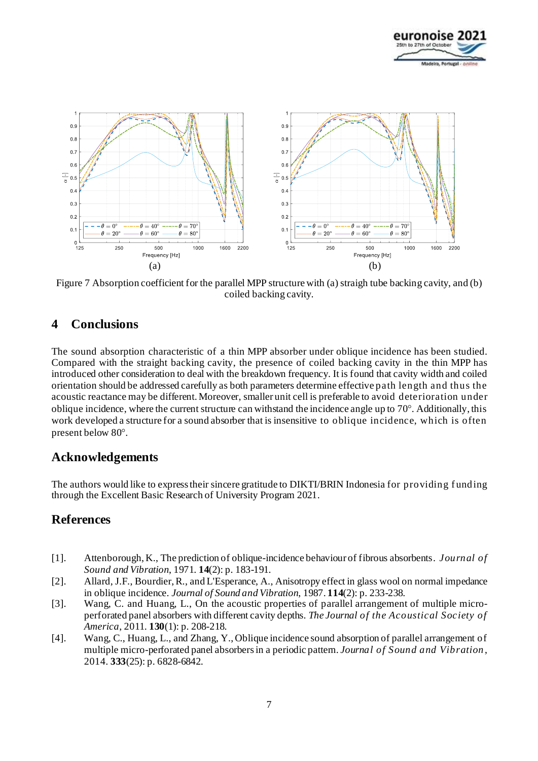



<span id="page-6-4"></span>Figure 7 Absorption coefficient for the parallel MPP structure with (a) straigh tube backing cavity, and (b) coiled backing cavity.

## **4 Conclusions**

The sound absorption characteristic of a thin MPP absorber under oblique incidence has been studied. Compared with the straight backing cavity, the presence of coiled backing cavity in the thin MPP has introduced other consideration to deal with the breakdown frequency. It is found that cavity width and coiled orientation should be addressed carefully as both parameters determine effective path length and thus the acoustic reactance may be different. Moreover, smaller unit cell is preferable to avoid deterioration under oblique incidence, where the current structure can withstand the incidence angle up to 70°. Additionally, this work developed a structure for a sound absorber that is insensitive to oblique incidence, which is often present below 80°.

## **Acknowledgements**

The authors would like to express their sincere gratitude to DIKTI/BRIN Indonesia for providing f unding through the Excellent Basic Research of University Program 2021.

## **References**

- <span id="page-6-0"></span>[1]. Attenborough, K., The prediction of oblique-incidence behaviour of fibrous absorbents. *Journal of Sound and Vibration*, 1971. **14**(2): p. 183-191.
- <span id="page-6-1"></span>[2]. Allard, J.F., Bourdier, R., and L'Esperance, A., Anisotropy effect in glass wool on normal impedance in oblique incidence. *Journal of Sound and Vibration*, 1987. **114**(2): p. 233-238.
- <span id="page-6-2"></span>[3]. Wang, C. and Huang, L., On the acoustic properties of parallel arrangement of multiple microperforated panel absorbers with different cavity depths. *The Journal of the Acoustical Society of America*, 2011. **130**(1): p. 208-218.
- <span id="page-6-3"></span>[4]. Wang, C., Huang, L., and Zhang, Y., Oblique incidence sound absorption of parallel arrangement of multiple micro-perforated panel absorbers in a periodic pattern. *Journal of Sound and Vibration* , 2014. **333**(25): p. 6828-6842.